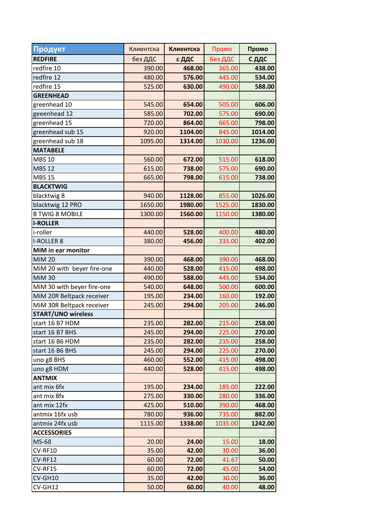| Продукт                    | Клиентска | Клиентска | Промо   | Промо   |
|----------------------------|-----------|-----------|---------|---------|
| <b>REDFIRE</b>             | без ДДС   | с ДДС     | Без ДДС | С ДДС   |
| redfire 10                 | 390.00    | 468.00    | 365.00  | 438.00  |
| redfire 12                 | 480.00    | 576.00    | 445.00  | 534.00  |
| redfire 15                 | 525.00    | 630.00    | 490.00  | 588.00  |
| <b>GREENHEAD</b>           |           |           |         |         |
| greenhead 10               | 545.00    | 654.00    | 505.00  | 606.00  |
| geeenhead 12               | 585.00    | 702.00    | 575.00  | 690.00  |
| greenhead 15               | 720.00    | 864.00    | 665.00  | 798.00  |
| greenhead sub 15           | 920.00    | 1104.00   | 845.00  | 1014.00 |
| greenhead sub 18           | 1095.00   | 1314.00   | 1030.00 | 1236.00 |
| <b>MATABELE</b>            |           |           |         |         |
| <b>MBS 10</b>              | 560.00    | 672.00    | 515.00  | 618.00  |
| <b>MBS 12</b>              | 615.00    | 738.00    | 575.00  | 690.00  |
| <b>MBS 15</b>              | 665.00    | 798.00    | 615.00  | 738.00  |
| <b>BLACKTWIG</b>           |           |           |         |         |
| blacktwig 8                | 940.00    | 1128.00   | 855.00  | 1026.00 |
| blacktwig 12 PRO           | 1650.00   | 1980.00   | 1525.00 | 1830.00 |
| <b>B TWIG 8 MOBILE</b>     | 1300.00   | 1560.00   | 1150.00 | 1380.00 |
| <b>I-ROLLER</b>            |           |           |         |         |
| i-roller                   | 440.00    | 528.00    | 400.00  | 480.00  |
| <b>I-ROLLER 8</b>          | 380.00    | 456.00    | 335.00  | 402.00  |
| MiM in ear monitor         |           |           |         |         |
| <b>MiM 20</b>              | 390.00    | 468.00    | 390.00  | 468.00  |
| MiM 20 with beyer fire-one | 440.00    | 528.00    | 415.00  | 498.00  |
| <b>MiM 30</b>              | 490.00    | 588.00    | 445.00  | 534.00  |
| MiM 30 with beyer fire-one | 540.00    | 648.00    | 500.00  | 600.00  |
| MiM 20R Beltpack receiver  | 195.00    | 234.00    | 160.00  | 192.00  |
| MiM 30R Beltpack receiver  | 245.00    | 294.00    | 205.00  | 246.00  |
| <b>START/UNO wireless</b>  |           |           |         |         |
| start 16 B7 HDM            | 235.00    | 282.00    | 215.00  | 258.00  |
| start 16 B7 BHS            | 245.00    | 294.00    | 225.00  | 270.00  |
| start 16 B6 HDM            | 235.00    | 282.00    | 215.00  | 258.00  |
| start 16 B6 BHS            | 245.00    | 294.00    | 225.00  | 270.00  |
| uno g8 BHS                 | 460.00    | 552.00    | 415.00  | 498.00  |
| uno g8 HDM                 | 440.00    | 528.00    | 415.00  | 498.00  |
| <b>ANTMIX</b>              |           |           |         |         |
| ant mix 6fx                | 195.00    | 234.00    | 185.00  | 222.00  |
| ant mix 8fx                | 275.00    | 330.00    | 280.00  | 336.00  |
| ant mix 12fx               | 425.00    | 510.00    | 390.00  | 468.00  |
| antmix 16fx usb            | 780.00    | 936.00    | 735.00  | 882.00  |
| antmix 24fx usb            | 1115.00   | 1338.00   | 1035.00 | 1242.00 |
| <b>ACCESSORIES</b>         |           |           |         |         |
| MS-68                      | 20.00     | 24.00     | 15.00   | 18.00   |
| CV-RF10                    | 35.00     | 42.00     | 30.00   | 36.00   |
| CV-RF12                    | 60.00     | 72.00     | 41.67   | 50.00   |
| CV-RF15                    | 60.00     | 72.00     | 45.00   | 54.00   |
| CV-GH10                    | 35.00     | 42.00     | 30.00   | 36.00   |
| CV-GH12                    | 50.00     | 60.00     | 40.00   | 48.00   |